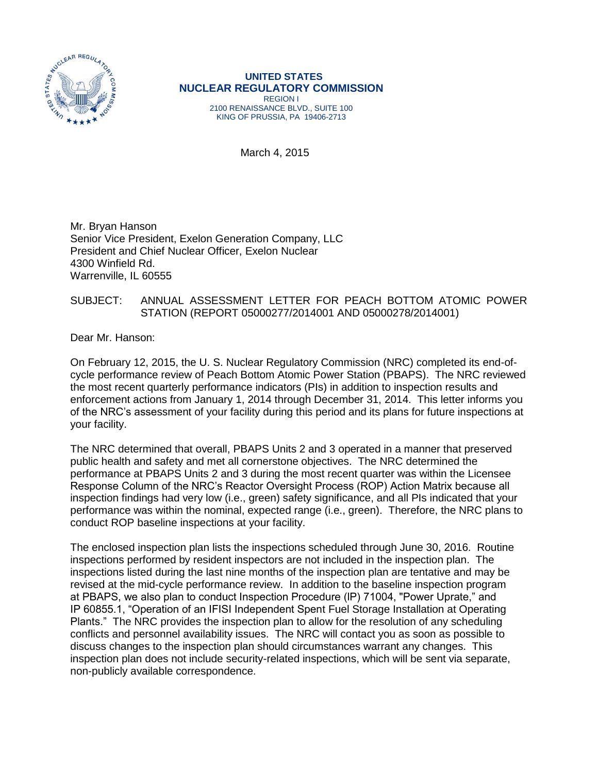

## **UNITED STATES NUCLEAR REGULATORY COMMISSION** REGION I

2100 RENAISSANCE BLVD., SUITE 100 KING OF PRUSSIA, PA 19406-2713

March 4, 2015

Mr. Bryan Hanson Senior Vice President, Exelon Generation Company, LLC President and Chief Nuclear Officer, Exelon Nuclear 4300 Winfield Rd. Warrenville, IL 60555

## SUBJECT: ANNUAL ASSESSMENT LETTER FOR PEACH BOTTOM ATOMIC POWER STATION (REPORT 05000277/2014001 AND 05000278/2014001)

Dear Mr. Hanson:

On February 12, 2015, the U. S. Nuclear Regulatory Commission (NRC) completed its end-ofcycle performance review of Peach Bottom Atomic Power Station (PBAPS). The NRC reviewed the most recent quarterly performance indicators (PIs) in addition to inspection results and enforcement actions from January 1, 2014 through December 31, 2014. This letter informs you of the NRC's assessment of your facility during this period and its plans for future inspections at your facility.

The NRC determined that overall, PBAPS Units 2 and 3 operated in a manner that preserved public health and safety and met all cornerstone objectives. The NRC determined the performance at PBAPS Units 2 and 3 during the most recent quarter was within the Licensee Response Column of the NRC's Reactor Oversight Process (ROP) Action Matrix because all inspection findings had very low (i.e., green) safety significance, and all PIs indicated that your performance was within the nominal, expected range (i.e., green). Therefore, the NRC plans to conduct ROP baseline inspections at your facility.

The enclosed inspection plan lists the inspections scheduled through June 30, 2016. Routine inspections performed by resident inspectors are not included in the inspection plan. The inspections listed during the last nine months of the inspection plan are tentative and may be revised at the mid-cycle performance review. In addition to the baseline inspection program at PBAPS, we also plan to conduct Inspection Procedure (lP) 71004, "Power Uprate," and IP 60855.1, "Operation of an IFISI Independent Spent Fuel Storage Installation at Operating Plants." The NRC provides the inspection plan to allow for the resolution of any scheduling conflicts and personnel availability issues. The NRC will contact you as soon as possible to discuss changes to the inspection plan should circumstances warrant any changes. This inspection plan does not include security-related inspections, which will be sent via separate, non-publicly available correspondence.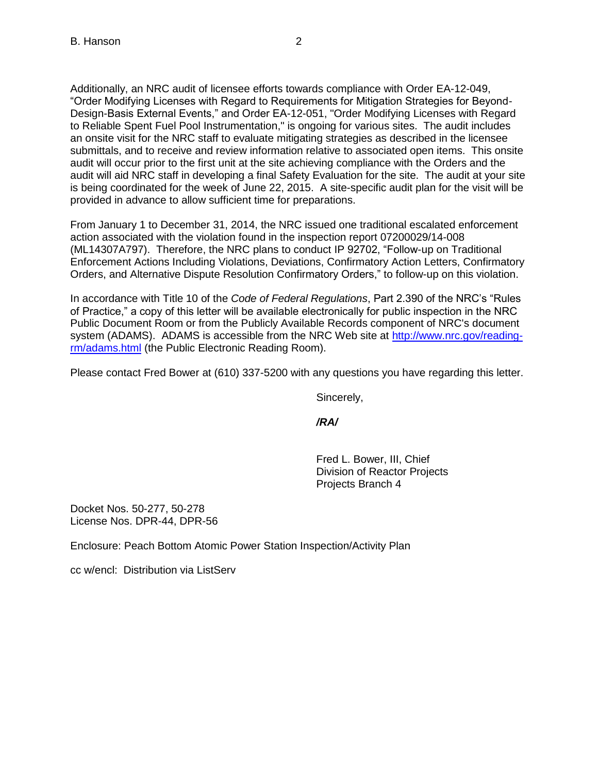Additionally, an NRC audit of licensee efforts towards compliance with Order EA-12-049, "Order Modifying Licenses with Regard to Requirements for Mitigation Strategies for Beyond-Design-Basis External Events," and Order EA-12-051, "Order Modifying Licenses with Regard to Reliable Spent Fuel Pool Instrumentation," is ongoing for various sites. The audit includes an onsite visit for the NRC staff to evaluate mitigating strategies as described in the licensee submittals, and to receive and review information relative to associated open items. This onsite audit will occur prior to the first unit at the site achieving compliance with the Orders and the audit will aid NRC staff in developing a final Safety Evaluation for the site. The audit at your site is being coordinated for the week of June 22, 2015. A site-specific audit plan for the visit will be provided in advance to allow sufficient time for preparations.

From January 1 to December 31, 2014, the NRC issued one traditional escalated enforcement action associated with the violation found in the inspection report 07200029/14-008 (ML14307A797). Therefore, the NRC plans to conduct IP 92702, "Follow-up on Traditional Enforcement Actions Including Violations, Deviations, Confirmatory Action Letters, Confirmatory Orders, and Alternative Dispute Resolution Confirmatory Orders," to follow-up on this violation.

In accordance with Title 10 of the *Code of Federal Regulations*, Part 2.390 of the NRC's "Rules of Practice," a copy of this letter will be available electronically for public inspection in the NRC Public Document Room or from the Publicly Available Records component of NRC's document system (ADAMS). ADAMS is accessible from the NRC Web site at [http://www.nrc.gov/reading](http://www.nrc.gov/reading-rm/adams.html)[rm/adams.html](http://www.nrc.gov/reading-rm/adams.html) (the Public Electronic Reading Room).

Please contact Fred Bower at (610) 337-5200 with any questions you have regarding this letter.

Sincerely,

*/RA/*

Fred L. Bower, III, Chief Division of Reactor Projects Projects Branch 4

Docket Nos. 50-277, 50-278 License Nos. DPR-44, DPR-56

Enclosure: Peach Bottom Atomic Power Station Inspection/Activity Plan

cc w/encl: Distribution via ListServ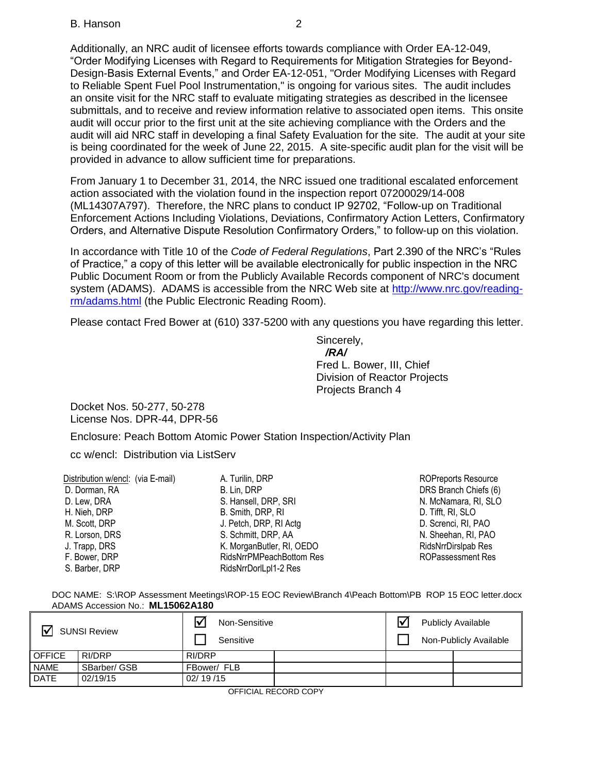Additionally, an NRC audit of licensee efforts towards compliance with Order EA-12-049, "Order Modifying Licenses with Regard to Requirements for Mitigation Strategies for Beyond-Design-Basis External Events," and Order EA-12-051, "Order Modifying Licenses with Regard to Reliable Spent Fuel Pool Instrumentation," is ongoing for various sites. The audit includes an onsite visit for the NRC staff to evaluate mitigating strategies as described in the licensee submittals, and to receive and review information relative to associated open items. This onsite audit will occur prior to the first unit at the site achieving compliance with the Orders and the audit will aid NRC staff in developing a final Safety Evaluation for the site. The audit at your site is being coordinated for the week of June 22, 2015. A site-specific audit plan for the visit will be provided in advance to allow sufficient time for preparations.

From January 1 to December 31, 2014, the NRC issued one traditional escalated enforcement action associated with the violation found in the inspection report 07200029/14-008 (ML14307A797). Therefore, the NRC plans to conduct IP 92702, "Follow-up on Traditional Enforcement Actions Including Violations, Deviations, Confirmatory Action Letters, Confirmatory Orders, and Alternative Dispute Resolution Confirmatory Orders," to follow-up on this violation.

In accordance with Title 10 of the *Code of Federal Regulations*, Part 2.390 of the NRC's "Rules of Practice," a copy of this letter will be available electronically for public inspection in the NRC Public Document Room or from the Publicly Available Records component of NRC's document system (ADAMS). ADAMS is accessible from the NRC Web site at [http://www.nrc.gov/reading](http://www.nrc.gov/reading-rm/adams.html)[rm/adams.html](http://www.nrc.gov/reading-rm/adams.html) (the Public Electronic Reading Room).

Please contact Fred Bower at (610) 337-5200 with any questions you have regarding this letter.

Sincerely,  */RA/* Fred L. Bower, III, Chief Division of Reactor Projects Projects Branch 4

Docket Nos. 50-277, 50-278 License Nos. DPR-44, DPR-56

Enclosure: Peach Bottom Atomic Power Station Inspection/Activity Plan

cc w/encl: Distribution via ListServ

| Distribution w/encl: (via E-mail) | A. Turilin, DRP           | <b>ROPreports Resource</b> |
|-----------------------------------|---------------------------|----------------------------|
| D. Dorman, RA                     | B. Lin, DRP               | DRS Branch Chiefs (6)      |
| D. Lew, DRA                       | S. Hansell, DRP, SRI      | N. McNamara, RI, SLO       |
| H. Nieh, DRP                      | B. Smith, DRP, RI         | D. Tifft, RI, SLO          |
| M. Scott, DRP                     | J. Petch, DRP, RI Actg.   | D. Screnci, RI, PAO        |
| R. Lorson, DRS                    | S. Schmitt, DRP, AA       | N. Sheehan, RI, PAO        |
| J. Trapp, DRS                     | K. MorganButler, RI, OEDO | RidsNrrDirsIpab Res        |
| F. Bower, DRP                     | RidsNrrPMPeachBottom Res  | <b>ROPassessment Res</b>   |
| S. Barber, DRP                    | RidsNrrDorlLpl1-2 Res     |                            |
|                                   |                           |                            |

DOC NAME: S:\ROP Assessment Meetings\ROP-15 EOC Review\Branch 4\Peach Bottom\PB ROP 15 EOC letter.docx ADAMS Accession No.: **ML15062A180** 

| <b>SUNSI Review</b><br>l۷ |              | Non-Sensitive<br>Sensitive |  |  | Ⅳ<br><b>Publicly Available</b><br>Non-Publicly Available |  |  |
|---------------------------|--------------|----------------------------|--|--|----------------------------------------------------------|--|--|
| <b>OFFICE</b>             | RI/DRP       | RI/DRP                     |  |  |                                                          |  |  |
| <b>NAME</b>               | SBarber/ GSB | FBower/ FLB                |  |  |                                                          |  |  |
| <b>DATE</b>               | 02/19/15     | 02/19/15                   |  |  |                                                          |  |  |

OFFICIAL RECORD COPY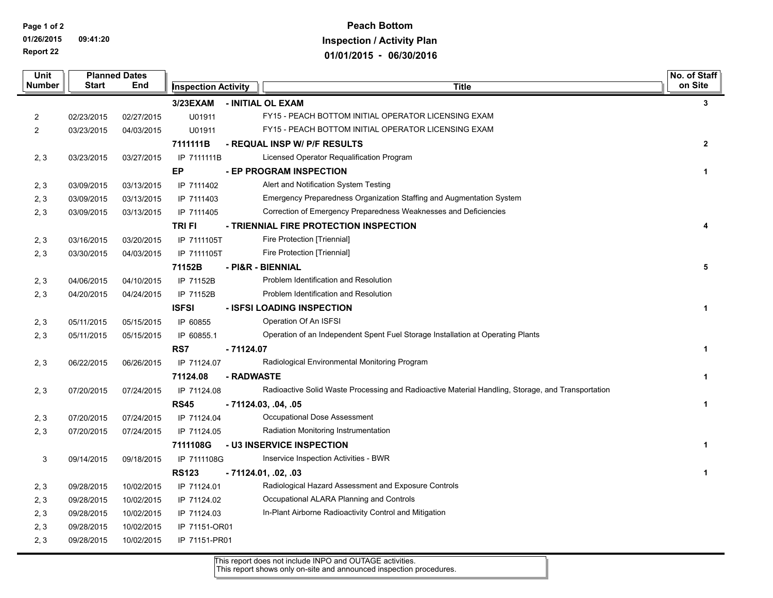**Page 1 of 2 01/26/2015 09:41:20 Report 22**

## **Peach Bottom Inspection / Activity Plan 01/01/2015 - 06/30/2016**

| <b>Unit</b>    | <b>Planned Dates</b> |            |                            |             |                                                                                                   |                |
|----------------|----------------------|------------|----------------------------|-------------|---------------------------------------------------------------------------------------------------|----------------|
| Number         | <b>Start</b>         | End        | <b>Inspection Activity</b> |             | <b>Title</b>                                                                                      | on Site        |
|                |                      |            | 3/23EXAM                   |             | - INITIAL OL EXAM                                                                                 | $\mathbf{3}$   |
| 2              | 02/23/2015           | 02/27/2015 | U01911                     |             | FY15 - PEACH BOTTOM INITIAL OPERATOR LICENSING EXAM                                               |                |
| $\overline{2}$ | 03/23/2015           | 04/03/2015 | U01911                     |             | FY15 - PEACH BOTTOM INITIAL OPERATOR LICENSING EXAM                                               |                |
|                |                      |            | 7111111B                   |             | - REQUAL INSP W/ P/F RESULTS                                                                      | $\overline{2}$ |
| 2, 3           | 03/23/2015           | 03/27/2015 | IP 7111111B                |             | Licensed Operator Requalification Program                                                         |                |
|                |                      |            | EP                         |             | - EP PROGRAM INSPECTION                                                                           | $\mathbf{1}$   |
| 2, 3           | 03/09/2015           | 03/13/2015 | IP 7111402                 |             | Alert and Notification System Testing                                                             |                |
| 2, 3           | 03/09/2015           | 03/13/2015 | IP 7111403                 |             | Emergency Preparedness Organization Staffing and Augmentation System                              |                |
| 2, 3           | 03/09/2015           | 03/13/2015 | IP 7111405                 |             | Correction of Emergency Preparedness Weaknesses and Deficiencies                                  |                |
|                |                      |            | <b>TRIFI</b>               |             | - TRIENNIAL FIRE PROTECTION INSPECTION                                                            | 4              |
| 2, 3           | 03/16/2015           | 03/20/2015 | IP 7111105T                |             | Fire Protection [Triennial]                                                                       |                |
| 2, 3           | 03/30/2015           | 04/03/2015 | IP 7111105T                |             | Fire Protection [Triennial]                                                                       |                |
|                |                      |            | 71152B                     |             | - PI&R - BIENNIAL                                                                                 | 5              |
| 2, 3           | 04/06/2015           | 04/10/2015 | IP 71152B                  |             | Problem Identification and Resolution                                                             |                |
| 2, 3           | 04/20/2015           | 04/24/2015 | IP 71152B                  |             | Problem Identification and Resolution                                                             |                |
|                |                      |            | <b>ISFSI</b>               |             | - ISFSI LOADING INSPECTION                                                                        | $\mathbf{1}$   |
| 2, 3           | 05/11/2015           | 05/15/2015 | IP 60855                   |             | Operation Of An ISFSI                                                                             |                |
| 2, 3           | 05/11/2015           | 05/15/2015 | IP 60855.1                 |             | Operation of an Independent Spent Fuel Storage Installation at Operating Plants                   |                |
|                |                      |            | RS7                        | $-71124.07$ |                                                                                                   | $\mathbf{1}$   |
| 2, 3           | 06/22/2015           | 06/26/2015 | IP 71124.07                |             | Radiological Environmental Monitoring Program                                                     |                |
|                |                      |            | 71124.08                   | - RADWASTE  |                                                                                                   | $\mathbf{1}$   |
| 2, 3           | 07/20/2015           | 07/24/2015 | IP 71124.08                |             | Radioactive Solid Waste Processing and Radioactive Material Handling, Storage, and Transportation |                |
|                |                      |            | <b>RS45</b>                |             | - 71124.03, .04, .05                                                                              | $\mathbf{1}$   |
| 2, 3           | 07/20/2015           | 07/24/2015 | IP 71124.04                |             | Occupational Dose Assessment                                                                      |                |
| 2, 3           | 07/20/2015           | 07/24/2015 | IP 71124.05                |             | Radiation Monitoring Instrumentation                                                              |                |
|                |                      |            | 7111108G                   |             | - U3 INSERVICE INSPECTION                                                                         | $\mathbf{1}$   |
| 3              | 09/14/2015           | 09/18/2015 | IP 7111108G                |             | Inservice Inspection Activities - BWR                                                             |                |
|                |                      |            | <b>RS123</b>               |             | - 71124.01, .02, .03                                                                              | $\mathbf{1}$   |
| 2, 3           | 09/28/2015           | 10/02/2015 | IP 71124.01                |             | Radiological Hazard Assessment and Exposure Controls                                              |                |
| 2, 3           | 09/28/2015           | 10/02/2015 | IP 71124.02                |             | Occupational ALARA Planning and Controls                                                          |                |
| 2, 3           | 09/28/2015           | 10/02/2015 | IP 71124.03                |             | In-Plant Airborne Radioactivity Control and Mitigation                                            |                |
| 2, 3           | 09/28/2015           | 10/02/2015 | IP 71151-OR01              |             |                                                                                                   |                |
| 2, 3           | 09/28/2015           | 10/02/2015 | IP 71151-PR01              |             |                                                                                                   |                |

This report does not include INPO and OUTAGE activities. This report shows only on-site and announced inspection procedures.